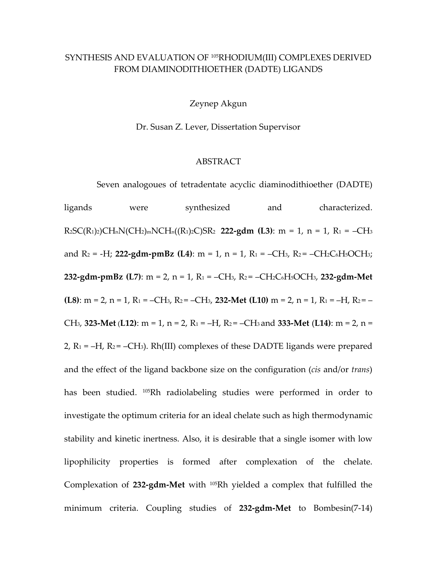## SYNTHESIS AND EVALUATION OF 105RHODIUM(III) COMPLEXES DERIVED FROM DIAMINODITHIOETHER (DADTE) LIGANDS

Zeynep Akgun

Dr. Susan Z. Lever, Dissertation Supervisor

## ABSTRACT

Seven analogoues of tetradentate acyclic diaminodithioether (DADTE)

ligands were synthesized and characterized. R2SC(R1)2)CHnN(CH2)mNCHn((R1)2C)SR2 **222‐gdm (L3)**: m = 1, n = 1, R1 = –CH3 and  $R_2 = -H$ ; **222-gdm-pmBz** (L4): m = 1, n = 1, R<sub>1</sub> = -CH<sub>3</sub>, R<sub>2</sub> = -CH<sub>2</sub>C<sub>6</sub>H<sub>5</sub>OCH<sub>3</sub>; **232‐gdm‐pmBz (L7)**: m = 2, n = 1, R1 = –CH3, R2 = –CH2C6H5OCH3, **232‐gdm‐Met (L8)**: m = 2, n = 1, R1 = –CH3, R2 = –CH3, **232‐Met (L10)** m = 2, n = 1, R1 = –H, R2 = – CH3, **323‐Met** (**L12)**: m = 1, n = 2, R1 = –H, R2 = –CH3 and **333‐Met** (**L14)**: m = 2, n = 2,  $R_1 = -H$ ,  $R_2 = -CH_3$ ). Rh(III) complexes of these DADTE ligands were prepared and the effect of the ligand backbone size on the configuration (*cis* and/or *trans*) has been studied. 105Rh radiolabeling studies were performed in order to investigate the optimum criteria for an ideal chelate such as high thermodynamic stability and kinetic inertness. Also, it is desirable that a single isomer with low lipophilicity properties is formed after complexation of the chelate. Complexation of **232‐gdm‐Met** with 105Rh yielded a complex that fulfilled the minimum criteria. Coupling studies of **232‐gdm‐Met** to Bombesin(7‐14)